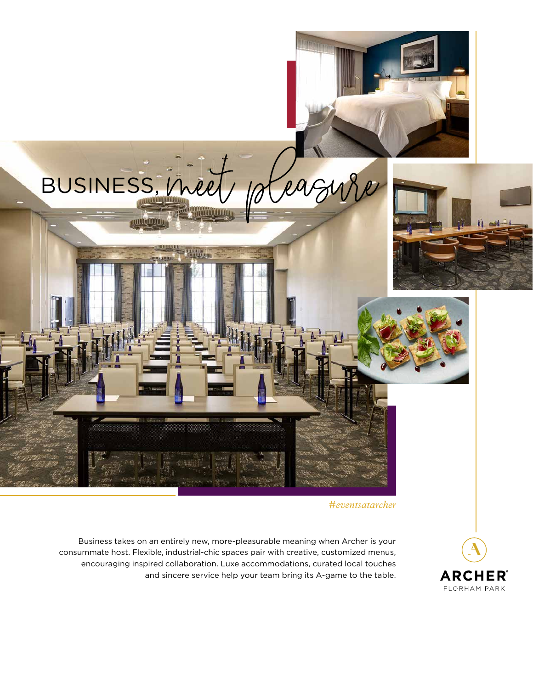

*#eventsatarcher*

Business takes on an entirely new, more-pleasurable meaning when Archer is your consummate host. Flexible, industrial-chic spaces pair with creative, customized menus, encouraging inspired collaboration. Luxe accommodations, curated local touches and sincere service help your team bring its A-game to the table.